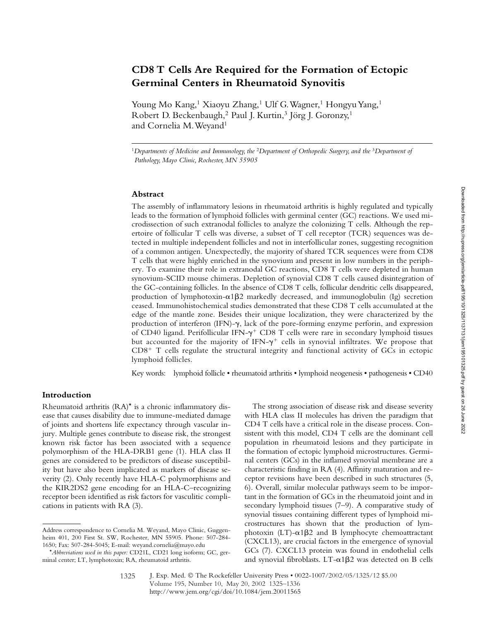# **CD8 T Cells Are Required for the Formation of Ectopic Germinal Centers in Rheumatoid Synovitis**

Young Mo Kang,<sup>1</sup> Xiaoyu Zhang,<sup>1</sup> Ulf G. Wagner,<sup>1</sup> Hongyu Yang,<sup>1</sup> Robert D. Beckenbaugh,<sup>2</sup> Paul J. Kurtin,<sup>3</sup> Jörg J. Goronzy,<sup>1</sup> and Cornelia M. Weyand<sup>1</sup>

<sup>1</sup>*Departments of Medicine and Immunology, the* <sup>2</sup>*Department of Orthopedic Surgery, and the* <sup>3</sup>*Department of Pathology, Mayo Clinic, Rochester, MN 55905*

## **Abstract**

The assembly of inflammatory lesions in rheumatoid arthritis is highly regulated and typically leads to the formation of lymphoid follicles with germinal center (GC) reactions. We used microdissection of such extranodal follicles to analyze the colonizing T cells. Although the repertoire of follicular T cells was diverse, a subset of T cell receptor (TCR) sequences was detected in multiple independent follicles and not in interfollicular zones, suggesting recognition of a common antigen. Unexpectedly, the majority of shared TCR sequences were from CD8 T cells that were highly enriched in the synovium and present in low numbers in the periphery. To examine their role in extranodal GC reactions, CD8 T cells were depleted in human synovium-SCID mouse chimeras. Depletion of synovial CD8 T cells caused disintegration of the GC-containing follicles. In the absence of CD8 T cells, follicular dendritic cells disappeared, production of lymphotoxin- $\alpha$ 1 $\beta$ 2 markedly decreased, and immunoglobulin (Ig) secretion ceased. Immunohistochemical studies demonstrated that these CD8 T cells accumulated at the edge of the mantle zone. Besides their unique localization, they were characterized by the production of interferon (IFN)- $\gamma$ , lack of the pore-forming enzyme perforin, and expression of CD40 ligand. Perifollicular IFN- $\gamma^+$  CD8 T cells were rare in secondary lymphoid tissues but accounted for the majority of IFN- $\gamma$ <sup>+</sup> cells in synovial infiltrates. We propose that  $CD8<sup>+</sup>$  T cells regulate the structural integrity and functional activity of GCs in ectopic lymphoid follicles.

Key words: lymphoid follicle • rheumatoid arthritis • lymphoid neogenesis • pathogenesis • CD40

# **Introduction**

Rheumatoid arthritis (RA)\* is a chronic inflammatory disease that causes disability due to immune-mediated damage of joints and shortens life expectancy through vascular injury. Multiple genes contribute to disease risk, the strongest known risk factor has been associated with a sequence polymorphism of the HLA-DRB1 gene (1). HLA class II genes are considered to be predictors of disease susceptibility but have also been implicated as markers of disease severity (2). Only recently have HLA-C polymorphisms and the KIR2DS2 gene encoding for an HLA-C–recognizing receptor been identified as risk factors for vasculitic complications in patients with RA (3).

The strong association of disease risk and disease severity with HLA class II molecules has driven the paradigm that CD4 T cells have a critical role in the disease process. Consistent with this model, CD4 T cells are the dominant cell population in rheumatoid lesions and they participate in the formation of ectopic lymphoid microstructures. Germinal centers (GCs) in the inflamed synovial membrane are a characteristic finding in RA (4). Affinity maturation and receptor revisions have been described in such structures (5, 6). Overall, similar molecular pathways seem to be important in the formation of GCs in the rheumatoid joint and in secondary lymphoid tissues (7–9). A comparative study of synovial tissues containing different types of lymphoid microstructures has shown that the production of lymphotoxin (LT)- $\alpha$ 1 $\beta$ 2 and B lymphocyte chemoattractant (CXCL13), are crucial factors in the emergence of synovial GCs (7). CXCL13 protein was found in endothelial cells and synovial fibroblasts.  $LT-\alpha1\beta2$  was detected on B cells

Address correspondence to Cornelia M. Weyand, Mayo Clinic, Guggenheim 401, 200 First St. SW, Rochester, MN 55905. Phone: 507-284- 1650; Fax: 507-284-5045; E-mail: weyand.cornelia@mayo.edu

<sup>\*</sup>*Abbreviations used in this paper:* CD21L, CD21 long isoform; GC, germinal center; LT, lymphotoxin; RA, rheumatoid arthritis.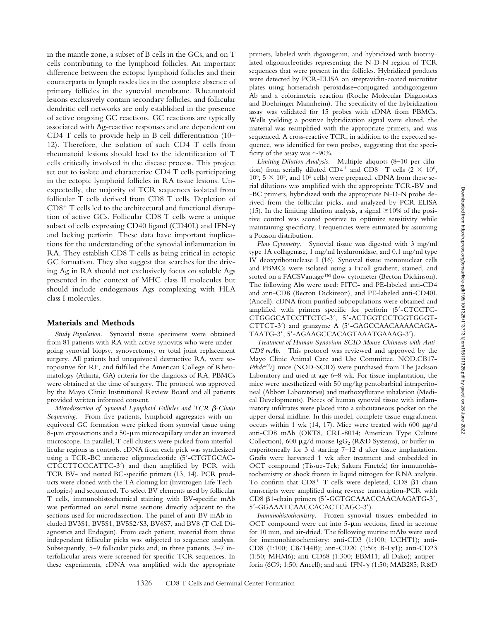in the mantle zone, a subset of B cells in the GCs, and on T cells contributing to the lymphoid follicles. An important difference between the ectopic lymphoid follicles and their counterparts in lymph nodes lies in the complete absence of primary follicles in the synovial membrane. Rheumatoid lesions exclusively contain secondary follicles, and follicular dendritic cell networks are only established in the presence of active ongoing GC reactions. GC reactions are typically associated with Ag-reactive responses and are dependent on CD4 T cells to provide help in B cell differentiation (10– 12). Therefore, the isolation of such CD4 T cells from rheumatoid lesions should lead to the identification of T cells critically involved in the disease process. This project set out to isolate and characterize CD4 T cells participating in the ectopic lymphoid follicles in RA tissue lesions. Unexpectedly, the majority of TCR sequences isolated from follicular T cells derived from CD8 T cells. Depletion of  $CD8<sup>+</sup>$  T cells led to the architectural and functional disruption of active GCs. Follicular CD8 T cells were a unique subset of cells expressing CD40 ligand (CD40L) and IFN- $\gamma$ and lacking perforin. These data have important implications for the understanding of the synovial inflammation in RA. They establish CD8 T cells as being critical in ectopic GC formation. They also suggest that searches for the driving Ag in RA should not exclusively focus on soluble Ags presented in the context of MHC class II molecules but should include endogenous Ags complexing with HLA class I molecules.

### **Materials and Methods**

*Study Population.* Synovial tissue specimens were obtained from 81 patients with RA with active synovitis who were undergoing synovial biopsy, synovectomy, or total joint replacement surgery. All patients had unequivocal destructive RA, were seropositive for RF, and fulfilled the American College of Rheumatology (Atlanta, GA) criteria for the diagnosis of RA. PBMCs were obtained at the time of surgery. The protocol was approved by the Mayo Clinic Institutional Review Board and all patients provided written informed consent.

*Microdissection of Synovial Lymphoid Follicles and TCR*  $\beta$ *-Chain Sequencing.* From five patients, lymphoid aggregates with unequivocal GC formation were picked from synovial tissue using 8- $\mu$ m cryosections and a 50- $\mu$ m microcapillary under an inverted microscope. In parallel, T cell clusters were picked from interfollicular regions as controls. cDNA from each pick was synthesized using a TCR-BC antisense oligonucleotide (5-CTGTGCAC-CTCCTTCCCATTC-3) and then amplified by PCR with TCR BV- and nested BC-specific primers (13, 14). PCR products were cloned with the TA cloning kit (Invitrogen Life Technologies) and sequenced. To select BV elements used by follicular T cells, immunohistochemical staining with BV-specific mAb was performed on serial tissue sections directly adjacent to the sections used for microdissection. The panel of anti-BV mAb included BV3S1, BV5S1, BV5S2/S3, BV6S7, and BV8 (T Cell Diagnostics and Endogen). From each patient, material from three independent follicular picks was subjected to sequence analysis. Subsequently, 5–9 follicular picks and, in three patients, 3–7 interfollicular areas were screened for specific TCR sequences. In these experiments, cDNA was amplified with the appropriate

primers, labeled with digoxigenin, and hybridized with biotinylated oligonucleotides representing the N-D-N region of TCR sequences that were present in the follicles. Hybridized products were detected by PCR-ELISA on streptavidin-coated microtiter plates using horseradish peroxidase–conjugated antidigoxigenin Ab and a colorimetric reaction (Roche Molecular Diagnostics and Boehringer Mannheim). The specificity of the hybridization assay was validated for 15 probes with cDNA from PBMCs. Wells yielding a positive hybridization signal were eluted, the material was reamplified with the appropriate primers, and was sequenced. A cross-reactive TCR, in addition to the expected sequence, was identified for two probes, suggesting that the specificity of the assay was  $\sim$ 90%.

*Limiting Dilution Analysis.* Multiple aliquots (8–10 per dilution) from serially diluted CD4<sup>+</sup> and CD8<sup>+</sup> T cells (2  $\times$  10<sup>6</sup>,  $10^6$ ,  $5 \times 10^5$ , and  $10^5$  cells) were prepared. cDNA from these serial dilutions was amplified with the appropriate TCR-BV and -BC primers, hybridized with the appropriate N-D-N probe derived from the follicular picks, and analyzed by PCR-ELISA (15). In the limiting dilution analysis, a signal  $\geq$  10% of the positive control was scored positive to optimize sensitivity while maintaining specificity. Frequencies were estimated by assuming a Poisson distribution.

*Flow Cytometry.* Synovial tissue was digested with 3 mg/ml type 1A collagenase, 1 mg/ml hyaluronidase, and 0.1 mg/ml type IV deoxyribonuclease I (16). Synovial tissue mononuclear cells and PBMCs were isolated using a Ficoll gradient, stained, and sorted on a FACSVantage™ flow cytometer (Becton Dickinson). The following Abs were used: FITC- and PE-labeled anti-CD4 and anti-CD8 (Becton Dickinson), and PE-labeled anti-CD40L (Ancell). cDNA from purified subpopulations were obtained and amplified with primers specific for perforin (5-CTCCTC-CTGGGCATCCTTCTC-3, 5-ACTGGTCCTGGTGGGT-CTTCT-3) and granzyme A (5-GAGCCAACAAAACAGA-TAATG-3', 5'-AGAAGCCACAGTAAATGAAAG-3').

*Treatment of Human Synovium-SCID Mouse Chimeras with Anti-CD8 mAb.* This protocol was reviewed and approved by the Mayo Clinic Animal Care and Use Committee. NOD.CB17- *Prkdcscid*/J mice (NOD-SCID) were purchased from The Jackson Laboratory and used at age 6–8 wk. For tissue implantation, the mice were anesthetized with 50 mg/kg pentobarbital intraperitoneal (Abbott Laboratories) and methoxyflurane inhalation (Medical Developments). Pieces of human synovial tissue with inflammatory infiltrates were placed into a subcutaneous pocket on the upper dorsal midline. In this model, complete tissue engraftment occurs within 1 wk (14, 17). Mice were treated with 600  $\mu$ g/d anti-CD8 mAb (OKT8, CRL-8014; American Type Culture Collection), 600  $\mu$ g/d mouse IgG<sub>2</sub> (R&D Systems), or buffer intraperitoneally for 3 d starting 7–12 d after tissue implantation. Grafts were harvested 1 wk after treatment and embedded in OCT compound (Tissue-Tek; Sakura Finetek) for immunohistochemistry or shock frozen in liquid nitrogen for RNA analysis. To confirm that  $CD8^+$  T cells were depleted,  $CD8$   $\beta$ 1-chain transcripts were amplified using reverse transcription-PCR with CD8  $\beta$ 1-chain primers (5'-GGTGCAAACCAACAAGATG-3', 5-GGAAATCAACCACACTCAGC-3).

*Immunohistochemistry.* Frozen synovial tissues embedded in OCT compound were cut into  $5-\mu m$  sections, fixed in acetone for 10 min, and air-dried. The following murine mAbs were used for immunohistochemistry: anti-CD3 (1:100; UCHT1); anti-CD8 (1:100; C8/144B); anti-CD20 (1:50; B-Ly1); anti-CD23 (1:50; MHM6); anti-CD68 (1:300; EBM11; all Dako); antiperforin (δG9; 1:50; Ancell); and anti–IFN-γ (1:50; MAB285; R&D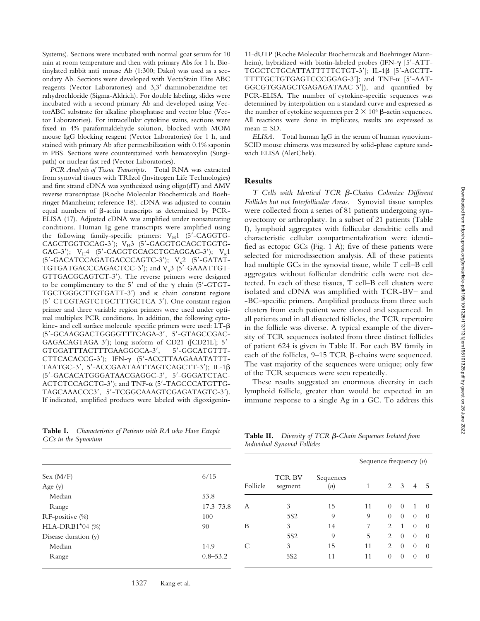Systems). Sections were incubated with normal goat serum for 10 min at room temperature and then with primary Abs for 1 h. Biotinylated rabbit anti–mouse Ab (1:300; Dako) was used as a secondary Ab. Sections were developed with VectaStain Elite ABC reagents (Vector Laboratories) and 3,3-diaminobenzidine tetrahydrochloride (Sigma-Aldrich). For double labeling, slides were incubated with a second primary Ab and developed using VectorABC substrate for alkaline phosphatase and vector blue (Vector Laboratories). For intracellular cytokine stains, sections were fixed in 4% paraformaldehyde solution, blocked with MOM mouse IgG blocking reagent (Vector Laboratories) for 1 h, and stained with primary Ab after permeabilization with 0.1% saponin in PBS. Sections were counterstained with hematoxylin (Surgipath) or nuclear fast red (Vector Laboratories).

*PCR Analysis of Tissue Transcripts.* Total RNA was extracted from synovial tissues with TRIzol (Invitrogen Life Technologies) and first strand cDNA was synthesized using oligo(dT) and AMV reverse transcriptase (Roche Molecular Biochemicals and Boehringer Mannheim; reference 18). cDNA was adjusted to contain equal numbers of  $\beta$ -actin transcripts as determined by PCR-ELISA (17). Adjusted cDNA was amplified under nonsaturating conditions. Human Ig gene transcripts were amplified using the following family-specific primers:  $V_H1$  (5'-CAGGTG-CAGCTGGTGCAG-3'); V<sub>H</sub>3 (5'-GAGGTGCAGCTGGTG-GAG-3');  $V_H4$  (5'-CAGGTGCAGCTGCAGGAG-3');  $V_R1$  $(5'-GACATCCAGATGACCCAGTC-3')$ ;  $V_{R}2$   $(5'-GATAT-T)$ TGTGATGACCCAGACTCC-3'); and  $V_{\kappa}$ 3 (5'-GAAATTGT-GTTGACGCAGTCT-3). The reverse primers were designed to be complimentary to the 5' end of the  $\gamma$  chain (5'-GTGT-TGCTGGGCTTGTGATT-3') and  $\kappa$  chain constant regions (5-CTCGTAGTCTGCTTTGCTCA-3). One constant region primer and three variable region primers were used under optimal multiplex PCR conditions. In addition, the following cytokine- and cell surface molecule–specific primers were used:  $LT-\beta$ (5-GCAAGGACTGGGGTTTCAGA-3, 5-GTAGCCGAC-GAGACAGTAGA-3); long isoform of CD21 ([CD21L]; 5- GTGGATTTACTTTGAAGGGCA-3', 5'-GGCATGTTT-CTTCACACCG-3'); IFN- $\gamma$  (5'-ACCTTAAGAAATATTT-TAATGC-3', 5'-ACCGAATAATTAGTCAGCTT-3'); IL-1 $\beta$ (5-GACACATGGGATAACGAGGC-3, 5-GGGATCTAC-ACTCTCCAGCTG-3'); and TNF- $\alpha$  (5'-TAGCCCATGTTG-TAGCAAACCC3, 5-TCGGCAAAGTCGAGATAGTC-3). If indicated, amplified products were labeled with digoxigenin-

11-dUTP (Roche Molecular Biochemicals and Boehringer Mannheim), hybridized with biotin-labeled probes (IFN- $\gamma$  [5'-ATT-TGGCTCTGCATTATTTTTCTGT-3']; IL-1β [5'-AGCTT-TTTTGCTGTGAGTCCCGGAG-3']; and TNF- $\alpha$  [5'-AAT-GGCGTGGAGCTGAGAGATAAC-3']), and quantified by PCR-ELISA. The number of cytokine-specific sequences was determined by interpolation on a standard curve and expressed as the number of cytokine sequences per  $2 \times 10^6$   $\beta$ -actin sequences. All reactions were done in triplicates, results are expressed as mean  $\pm$  SD.

*ELISA.* Total human IgG in the serum of human synovium-SCID mouse chimeras was measured by solid-phase capture sandwich ELISA (AlerChek).

## **Results**

*T* Cells with Identical *TCR β-Chains Colonize Different Follicles but not Interfollicular Areas.* Synovial tissue samples were collected from a series of 81 patients undergoing synovectomy or arthroplasty. In a subset of 21 patients (Table I), lymphoid aggregates with follicular dendritic cells and characteristic cellular compartmentalization were identified as ectopic GCs (Fig. 1 A); five of these patients were selected for microdissection analysis. All of these patients had multiple GCs in the synovial tissue, while T cell–B cell aggregates without follicular dendritic cells were not detected. In each of these tissues, T cell–B cell clusters were isolated and cDNA was amplified with TCR-BV– and -BC–specific primers. Amplified products from three such clusters from each patient were cloned and sequenced. In all patients and in all dissected follicles, the TCR repertoire in the follicle was diverse. A typical example of the diversity of TCR sequences isolated from three distinct follicles of patient 624 is given in Table II. For each BV family in each of the follicles,  $9-15$  TCR  $\beta$ -chains were sequenced. The vast majority of the sequences were unique; only few of the TCR sequences were seen repeatedly.

These results suggested an enormous diversity in each lymphoid follicle, greater than would be expected in an immune response to a single Ag in a GC. To address this

**Table I.** *Characteristics of Patients with RA who Have Ectopic GCs in the Synovium*

| <b>Table II.</b> Diversity of TCR $\beta$ -Chain Sequences Isolated from |
|--------------------------------------------------------------------------|
| Individual Synovial Follicles                                            |

|                        |               |          |                          |                  | Sequence frequency $(n)$ |                |                |                |                |
|------------------------|---------------|----------|--------------------------|------------------|--------------------------|----------------|----------------|----------------|----------------|
| Sex (M/F)<br>Age $(y)$ | 6/15          | Follicle | <b>TCR BV</b><br>segment | Sequences<br>(n) |                          |                | $2 \quad 3$    | 4              | $-5$           |
| Median                 | 53.8          |          |                          |                  |                          |                |                |                |                |
| Range                  | $17.3 - 73.8$ | A        | 3                        | 15               | 11                       | $\Omega$       | $\theta$       |                | $\theta$       |
| RF-positive (%)        | 100           |          | 5S <sub>2</sub>          | 9                | 9                        | $\theta$       | $\theta$       | $\Omega$       | $\theta$       |
| $HLA-DRB1*04$ (%)      | 90            | B        | 3                        | 14               | 7                        | $\overline{2}$ |                | $\theta$       | $\overline{0}$ |
| Disease duration (y)   |               |          | 5S <sub>2</sub>          | 9                | 5                        | 2              | $\overline{0}$ | $\theta$       | $\theta$       |
| Median                 | 14.9          | C        | 3                        | 15               | 11                       | 2              | $\overline{0}$ | $\overline{0}$ | $\theta$       |
| Range                  | $0.8 - 53.2$  |          | 5S <sub>2</sub>          | 11               | 11                       | $\overline{0}$ | $\overline{0}$ | $\overline{0}$ | $\overline{0}$ |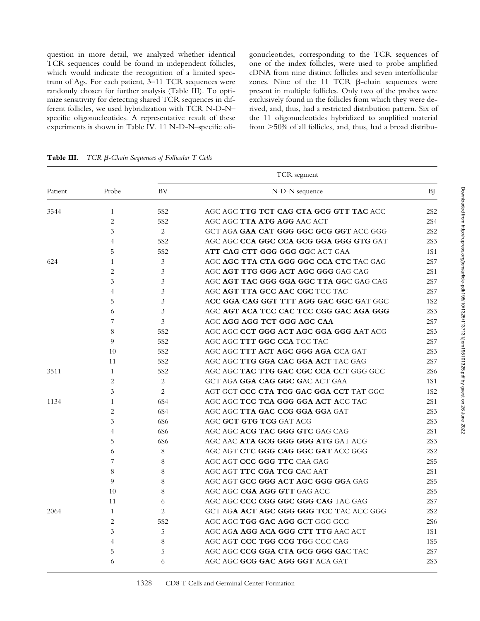question in more detail, we analyzed whether identical TCR sequences could be found in independent follicles, which would indicate the recognition of a limited spectrum of Ags. For each patient, 3–11 TCR sequences were randomly chosen for further analysis (Table III). To optimize sensitivity for detecting shared TCR sequences in different follicles, we used hybridization with TCR N-D-N– specific oligonucleotides. A representative result of these experiments is shown in Table IV. 11 N-D-N–specific oligonucleotides, corresponding to the TCR sequences of one of the index follicles, were used to probe amplified cDNA from nine distinct follicles and seven interfollicular zones. Nine of the 11 TCR  $\beta$ -chain sequences were present in multiple follicles. Only two of the probes were exclusively found in the follicles from which they were derived, and, thus, had a restricted distribution pattern. Six of the 11 oligonucleotides hybridized to amplified material from 50% of all follicles, and, thus, had a broad distribu-

|         |                | TCR segment     |                                                 |                 |  |  |  |  |  |
|---------|----------------|-----------------|-------------------------------------------------|-----------------|--|--|--|--|--|
| Patient | Probe          | <b>BV</b>       | N-D-N sequence                                  | <b>BJ</b>       |  |  |  |  |  |
| 3544    | $\mathbf{1}$   | 5S <sub>2</sub> | AGC AGC TTG TCT CAG CTA GCG GTT TAC ACC         | 2S <sub>2</sub> |  |  |  |  |  |
|         | $\overline{c}$ | 5S <sub>2</sub> | AGC AGC <b>TTA ATG AGG</b> AAC ACT              | <b>2S4</b>      |  |  |  |  |  |
|         | 3              | 2               | GCT AGA GAA CAT GGG GGC GCG GGT ACC GGG         | 2S <sub>2</sub> |  |  |  |  |  |
|         | 4              | 5S <sub>2</sub> | AGC AGC <b>CCA GGC CCA GCG GGA GGG GTG</b> GAT  | <b>2S3</b>      |  |  |  |  |  |
|         | 5              | 5S <sub>2</sub> | ATT CAG CTT GGG GGG GGC ACT GAA                 | 1S1             |  |  |  |  |  |
| 624     | 1              | 3               | AGC AGC TTA CTA GGG GGC CCA CTC TAC GAG         | 2S7             |  |  |  |  |  |
|         | 2              | 3               | AGC AGT TTG GGG ACT AGC GGG GAG CAG             | 2S1             |  |  |  |  |  |
|         | 3              | 3               | AGC AGT TAC GGG GGA GGC TTA GGC GAG CAG         | <b>2S7</b>      |  |  |  |  |  |
|         | 4              | 3               | AGC AGT TTA GCC AAC CGC TCC TAC                 | <b>2S7</b>      |  |  |  |  |  |
|         | 5              | 3               | ACC GGA CAG GGT TTT AGG GAC GGC GAT GGC         | 1S <sub>2</sub> |  |  |  |  |  |
|         | 6              | 3               | AGC AGT ACA TCC CAC TCC CGG GAC AGA GGG         | <b>2S3</b>      |  |  |  |  |  |
|         | 7              | 3               | AGC AGG AGG TCT GGG AGC CAA                     | <b>2S7</b>      |  |  |  |  |  |
|         | 8              | 5S <sub>2</sub> | AGC AGC CCT GGG ACT AGC GGA GGG AAT ACG         | 2S3             |  |  |  |  |  |
|         | 9              | 5S <sub>2</sub> | AGC AGC TTT GGC CCA TCC TAC                     | 2S7             |  |  |  |  |  |
|         | 10             | 5S <sub>2</sub> | AGC AGC TTT ACT AGC GGG AGA CCA GAT             | 2S3             |  |  |  |  |  |
|         | 11             | 5S <sub>2</sub> | AGC AGC <b>TTG GGA CAC GGA ACT</b> TAC GAG      | 2S7             |  |  |  |  |  |
| 3511    | 1              | 5S <sub>2</sub> | AGC AGC <b>TAC TTG GAC CGC CCA C</b> CT GGG GCC | <b>2S6</b>      |  |  |  |  |  |
|         | $\overline{2}$ | 2               | GCT AGA GGA CAG GGC GAC ACT GAA                 | 1S1             |  |  |  |  |  |
|         | 3              | $\overline{c}$  | AGT GCT <b>CCC CTA TCG GAC GGA CCT</b> TAT GGC  | 1S <sub>2</sub> |  |  |  |  |  |
| 1134    | 1              | 6S4             | AGC AGC <b>TCC TCA GGG GGA ACT A</b> CC TAC     | 2S1             |  |  |  |  |  |
|         | $\overline{c}$ | 6S4             | AGC AGC TTA GAC CCG GGA GGA GAT                 | 2S3             |  |  |  |  |  |
|         | 3              | 6S6             | AGC <b>GCT GTG TCG</b> GAT ACG                  | <b>2S3</b>      |  |  |  |  |  |
|         | 4              | 6S6             | AGC AGC ACG TAC GGG GTC GAG CAG                 | 2S1             |  |  |  |  |  |
|         | 5              | 6S6             | AGC AAC <b>ATA GCG GGG GGG ATG</b> GAT ACG      | <b>2S3</b>      |  |  |  |  |  |
|         | 6              | 8               | AGC AGT CTC GGG CAG GGC GAT ACC GGG             | 2S <sub>2</sub> |  |  |  |  |  |
|         | 7              | 8               | AGC AGT <b>CCC GGG TTC</b> CAA GAG              | <b>2S5</b>      |  |  |  |  |  |
|         | 8              | 8               | AGC AGT TTC CGA TCG CAC AAT                     | 2S1             |  |  |  |  |  |
|         | 9              | 8               | AGC AGT GCC GGG ACT AGC GGG GGA GAG             | <b>2S5</b>      |  |  |  |  |  |
|         | 10             | 8               | AGC AGC CGA AGG GTT GAG ACC                     | <b>2S5</b>      |  |  |  |  |  |
|         | 11             | 6               | AGC AGC CCC CGG GGC GGG CAG TAC GAG             | 2S7             |  |  |  |  |  |
| 2064    | $\mathbf{1}$   | 2               | GCT AGA ACT AGC GGG GGG TCC TAC ACC GGG         | 2S <sub>2</sub> |  |  |  |  |  |
|         | 2              | 5S <sub>2</sub> | AGC AGC TGG GAC AGG GCT GGG GCC                 | <b>2S6</b>      |  |  |  |  |  |
|         | 3              | 5               | AGC AG <b>A AGG ACA GGG CTT TTG</b> AAC ACT     | 1S1             |  |  |  |  |  |
|         | 4              | 8               | AGC AGT CCC TGG CCG TGG CCC CAG                 | <b>1S5</b>      |  |  |  |  |  |
|         | 5              | 5               | AGC AGC CCG GGA CTA GCG GGG GAC TAC             | 2S7             |  |  |  |  |  |
|         | 6              | 6               | AGC AGC GCG GAC AGG GGT ACA GAT                 | 2S3             |  |  |  |  |  |

**Table III.** *TCR β-Chain Sequences of Follicular T Cells*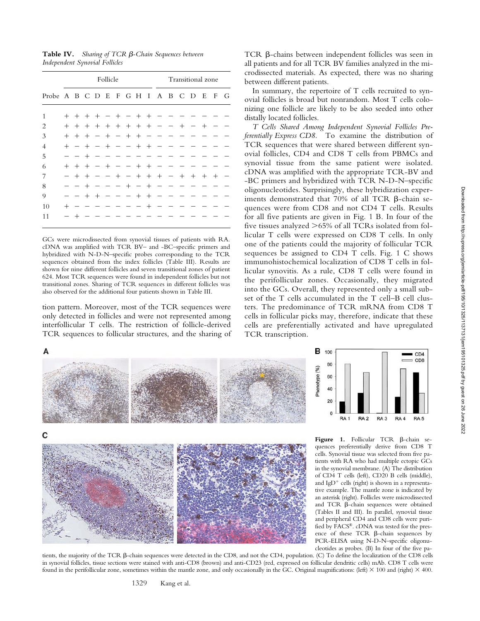CD<sub>4</sub>  $=$  CD<sub>8</sub>

RA<sub>5</sub>

**Table IV.** Sharing of TCR β-Chain Sequences between *Independent Synovial Follicles*

|                                       |                | Follicle |                |                |                |                |                |        |                | Transitional zone |  |       |        |        |      |  |
|---------------------------------------|----------------|----------|----------------|----------------|----------------|----------------|----------------|--------|----------------|-------------------|--|-------|--------|--------|------|--|
| Probe A B C D E F G H I A B C D E F G |                |          |                |                |                |                |                |        |                |                   |  |       |        |        |      |  |
| 1                                     | $^{+}$         | $^{+}$   | $+$            | $\pm$          |                |                |                | $^{+}$ | $^+$           |                   |  |       |        |        |      |  |
| 2                                     | $^{+}$         | $^{+}$   | $^{+}$         | $^{+}$         | $^{+}$         | $^{+}$         | $^{+}$         | $^{+}$ | $^{+}$         |                   |  | $^+$  |        | $^+$   |      |  |
| 3                                     | $^{+}$         | $^{+}$   | $^+$           |                | $\overline{+}$ |                | $^{+}$         | $^{+}$ |                |                   |  |       |        |        |      |  |
| 4                                     | $^{+}$         |          | $^{+}$         |                | $^{+}$         |                |                | $\pm$  | $^{+}$         |                   |  |       |        |        |      |  |
| 5                                     |                |          | $^{+}$         |                |                |                |                |        |                |                   |  |       |        |        |      |  |
| 6                                     | $\overline{+}$ | $^{+}$   | $^{+}$         |                | $^{+}$         |                |                | $^{+}$ | $^{+}$         |                   |  |       |        |        |      |  |
| 7                                     |                | $^{+}$   | $\pm$          |                |                | $\overline{+}$ |                | $^{+}$ | $^{+}$         | $^{+}$            |  | $\pm$ | $^{+}$ | $^{+}$ | $^+$ |  |
| 8                                     |                |          | $^+$           |                |                |                | $\overline{+}$ |        | $\overline{+}$ |                   |  |       |        |        |      |  |
| 9                                     |                |          | $\overline{+}$ | $\overline{+}$ |                |                |                | $^+$   | $^{+}$         |                   |  |       |        |        |      |  |
| 10                                    | $^{+}$         |          |                |                |                |                |                |        | $^+$           |                   |  |       |        |        |      |  |
| 11                                    |                |          |                |                |                |                |                |        |                |                   |  |       |        |        |      |  |

GCs were microdissected from synovial tissues of patients with RA. cDNA was amplified with TCR BV– and -BC–specific primers and hybridized with N-D-N–specific probes corresponding to the TCR sequences obtained from the index follicles (Table III). Results are shown for nine different follicles and seven transitional zones of patient 624. Most TCR sequences were found in independent follicles but not transitional zones. Sharing of TCR sequences in different follicles was also observed for the additional four patients shown in Table III.

tion pattern. Moreover, most of the TCR sequences were only detected in follicles and were not represented among interfollicular T cells. The restriction of follicle-derived TCR sequences to follicular structures, and the sharing of

 $TCR$   $\beta$ -chains between independent follicles was seen in all patients and for all TCR BV families analyzed in the microdissected materials. As expected, there was no sharing between different patients.

In summary, the repertoire of T cells recruited to synovial follicles is broad but nonrandom. Most T cells colonizing one follicle are likely to be also seeded into other distally located follicles.

*T Cells Shared Among Independent Synovial Follicles Preferentially Express CD8.* To examine the distribution of TCR sequences that were shared between different synovial follicles, CD4 and CD8 T cells from PBMCs and synovial tissue from the same patient were isolated. cDNA was amplified with the appropriate TCR-BV and -BC primers and hybridized with TCR N-D-N–specific oligonucleotides. Surprisingly, these hybridization experiments demonstrated that  $70\%$  of all TCR  $\beta$ -chain sequences were from CD8 and not CD4 T cells. Results for all five patients are given in Fig. 1 B. In four of the five tissues analyzed 65% of all TCRs isolated from follicular T cells were expressed on CD8 T cells. In only one of the patients could the majority of follicular TCR sequences be assigned to CD4 T cells. Fig. 1 C shows immunohistochemical localization of CD8 T cells in follicular synovitis. As a rule, CD8 T cells were found in the perifollicular zones. Occasionally, they migrated into the GCs. Overall, they represented only a small subset of the T cells accumulated in the T cell–B cell clusters. The predominance of TCR mRNA from CD8 T cells in follicular picks may, therefore, indicate that these cells are preferentially activated and have upregulated TCR transcription.

**B** 100

Phenotype (%) 60 40 20  $\theta$ RA<sub>1</sub>

80



Figure 1. Follicular TCR  $\beta$ -chain sequences preferentially derive from CD8 T cells. Synovial tissue was selected from five patients with RA who had multiple ectopic GCs in the synovial membrane. (A) The distribution of CD4 T cells (left), CD20 B cells (middle), and IgD<sup>+</sup> cells (right) is shown in a representative example. The mantle zone is indicated by an asterisk (right). Follicles were microdissected and TCR  $\beta$ -chain sequences were obtained (Tables II and III). In parallel, synovial tissue and peripheral CD4 and CD8 cells were purified by FACS®. cDNA was tested for the presence of these TCR  $\beta$ -chain sequences by PCR-ELISA using N-D-N–specific oligonucleotides as probes. (B) In four of the five pa-

RA<sub>2</sub>

RA<sub>3</sub>

RA4

tients, the majority of the TCR β-chain sequences were detected in the CD8, and not the CD4, population. (C) To define the localization of the CD8 cells in synovial follicles, tissue sections were stained with anti-CD8 (brown) and anti-CD23 (red, expressed on follicular dendritic cells) mAb. CD8 T cells were found in the perifollicular zone, sometimes within the mantle zone, and only occasionally in the GC. Original magnifications: (left)  $\times$  100 and (right)  $\times$  400.

1329 Kang et al.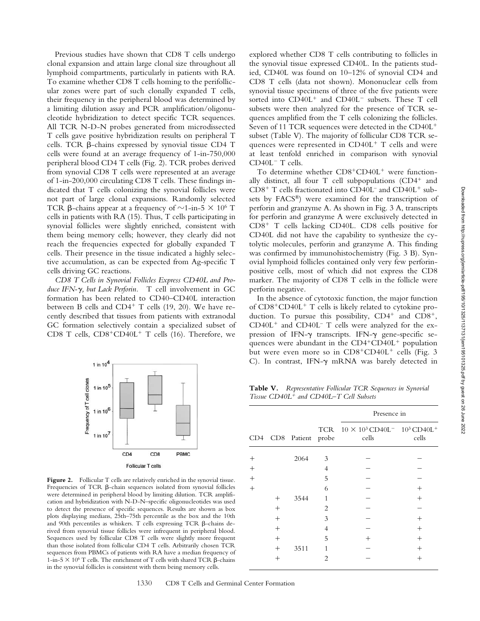Previous studies have shown that CD8 T cells undergo clonal expansion and attain large clonal size throughout all lymphoid compartments, particularly in patients with RA. To examine whether CD8 T cells homing to the perifollicular zones were part of such clonally expanded T cells, their frequency in the peripheral blood was determined by a limiting dilution assay and PCR amplification/oligonucleotide hybridization to detect specific TCR sequences. All TCR N-D-N probes generated from microdissected T cells gave positive hybridization results on peripheral T cells. TCR  $\beta$ -chains expressed by synovial tissue CD4 T cells were found at an average frequency of 1-in-750,000 peripheral blood CD4 T cells (Fig. 2). TCR probes derived from synovial CD8 T cells were represented at an average of 1-in-200,000 circulating CD8 T cells. These findings indicated that T cells colonizing the synovial follicles were not part of large clonal expansions. Randomly selected TCR  $\beta$ -chains appear at a frequency of  $\sim$ 1-in-5  $\times$  10<sup>6</sup> T cells in patients with RA (15). Thus, T cells participating in synovial follicles were slightly enriched, consistent with them being memory cells; however, they clearly did not reach the frequencies expected for globally expanded T cells. Their presence in the tissue indicated a highly selective accumulation, as can be expected from Ag-specific T cells driving GC reactions.

*CD8 T Cells in Synovial Follicles Express CD40L and Produce IFN-, but Lack Perforin.* T cell involvement in GC formation has been related to CD40–CD40L interaction between B cells and  $CD4^+$  T cells (19, 20). We have recently described that tissues from patients with extranodal GC formation selectively contain a specialized subset of CD8 T cells,  $CD8+CD40L+T$  cells (16). Therefore, we



Figure 2. Follicular T cells are relatively enriched in the synovial tissue. Frequencies of TCR  $\beta$ -chain sequences isolated from synovial follicles were determined in peripheral blood by limiting dilution. TCR amplification and hybridization with N-D-N–specific oligonucleotides was used to detect the presence of specific sequences. Results are shown as box plots displaying medians, 25th–75th percentile as the box and the 10th and 90th percentiles as whiskers. T cells expressing TCR  $\beta$ -chains derived from synovial tissue follicles were infrequent in peripheral blood. Sequences used by follicular CD8 T cells were slightly more frequent than those isolated from follicular CD4 T cells. Arbitrarily chosen TCR sequences from PBMCs of patients with RA have a median frequency of 1-in-5  $\times$  10<sup>6</sup> T cells. The enrichment of T cells with shared TCR  $\beta$ -chains in the synovial follicles is consistent with them being memory cells.

explored whether CD8 T cells contributing to follicles in the synovial tissue expressed CD40L. In the patients studied, CD40L was found on 10–12% of synovial CD4 and CD8 T cells (data not shown). Mononuclear cells from synovial tissue specimens of three of the five patients were sorted into CD40L<sup>+</sup> and CD40L<sup>-</sup> subsets. These T cell subsets were then analyzed for the presence of TCR sequences amplified from the T cells colonizing the follicles. Seven of 11 TCR sequences were detected in the CD40L subset (Table V). The majority of follicular CD8 TCR sequences were represented in  $CD40L<sup>+</sup>$  T cells and were at least tenfold enriched in comparison with synovial CD40L<sup>-</sup> T cells.

To determine whether  $CD8+CD40L<sup>+</sup>$  were functionally distinct, all four  $T$  cell subpopulations (CD4<sup>+</sup> and  $CD8<sup>+</sup>$  T cells fractionated into  $CD40L<sup>-</sup>$  and  $CD40L<sup>+</sup>$  subsets by FACS®) were examined for the transcription of perforin and granzyme A. As shown in Fig. 3 A, transcripts for perforin and granzyme A were exclusively detected in  $CD8<sup>+</sup>$  T cells lacking CD40L. CD8 cells positive for CD40L did not have the capability to synthesize the cytolytic molecules, perforin and granzyme A. This finding was confirmed by immunohistochemistry (Fig. 3 B). Synovial lymphoid follicles contained only very few perforinpositive cells, most of which did not express the CD8 marker. The majority of CD8 T cells in the follicle were perforin negative.

In the absence of cytotoxic function, the major function of  $CD8+CD40L^+$  T cells is likely related to cytokine production. To pursue this possibility,  $CD4^+$  and  $CD8^+$ ,  $CD40L<sup>+</sup>$  and  $CD40L<sup>-</sup>$  T cells were analyzed for the expression of IFN- $\gamma$  transcripts. IFN- $\gamma$  gene-specific sequences were abundant in the  $CD4+CD40L^+$  population but were even more so in  $CD8+CDA0L^+$  cells (Fig. 3 C). In contrast, IFN- $\gamma$  mRNA was barely detected in

**Table V.** *Representative Follicular TCR Sequences in Synovial Tissue CD40L and CD40L–T Cell Subsets*

|        |        |                   |                | Presence in                                                            |        |
|--------|--------|-------------------|----------------|------------------------------------------------------------------------|--------|
| CD4    |        | CD8 Patient probe | TCR            | $10 \times 10^3$ CD40L <sup>-</sup> $10^3$ CD40L <sup>+</sup><br>cells | cells  |
| $^{+}$ |        | 2064              | 3              |                                                                        |        |
| $^{+}$ |        |                   | 4              |                                                                        |        |
| $^{+}$ |        |                   | 5              |                                                                        |        |
| $^{+}$ |        |                   | 6              |                                                                        | $^{+}$ |
|        | $^{+}$ | 3544              | $\mathbf{1}$   |                                                                        | $^{+}$ |
|        | $^{+}$ |                   | $\overline{c}$ |                                                                        |        |
|        | $^{+}$ |                   | 3              |                                                                        | $^{+}$ |
|        | $^{+}$ |                   | 4              |                                                                        | $^{+}$ |
|        | $^{+}$ |                   | 5              | $^{+}$                                                                 | $^{+}$ |
|        | $^{+}$ | 3511              | 1              |                                                                        | $^{+}$ |
|        | $^{+}$ |                   | $\overline{2}$ |                                                                        | $^{+}$ |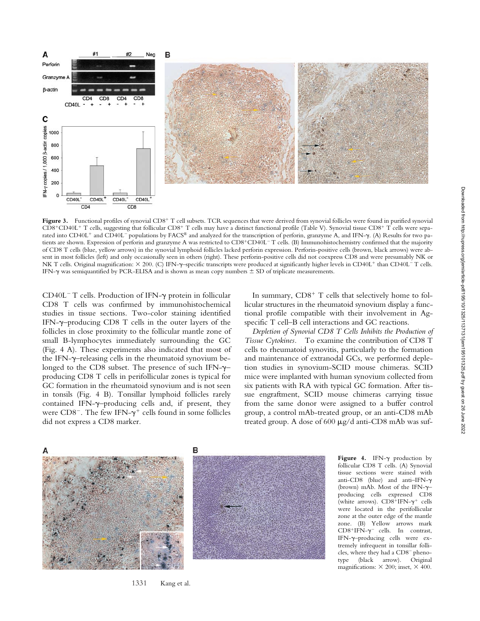

Figure 3. Functional profiles of synovial CD8<sup>+</sup> T cell subsets. TCR sequences that were derived from synovial follicles were found in purified synovial  $CD8+CD40L+T$  cells, suggesting that follicular  $CD8+T$  cells may have a distinct functional profile (Table V). Synovial tissue  $CD8+T$  cells were separated into CD40L<sup>+</sup> and CD40L<sup>-</sup> populations by FACS® and analyzed for the transcription of perforin, granzyme A, and IFN- $\gamma$ . (A) Results for two patients are shown. Expression of perforin and granzyme A was restricted to CD8<sup>+</sup>CD40L<sup>-</sup>T cells. (B) Immunohistochemistry confirmed that the majority of CD8 T cells (blue, yellow arrows) in the synovial lymphoid follicles lacked perforin expression. Perforin-positive cells (brown, black arrows) were absent in most follicles (left) and only occasionally seen in others (right). These perforin-positive cells did not coexpress CD8 and were presumably NK or NK T cells. Original magnification:  $\times$  200. (C) IFN- $\gamma$ -specific transcripts were produced at significantly higher levels in CD40L<sup>+</sup> than CD40L<sup>-</sup> T cells. IFN- $\gamma$  was semiquantified by PCR-ELISA and is shown as mean copy numbers  $\pm$  SD of triplicate measurements.

 $CD40L$ <sup>-</sup> T cells. Production of IFN- $\gamma$  protein in follicular CD8 T cells was confirmed by immunohistochemical studies in tissue sections. Two-color staining identified IFN- $\gamma$ -producing CD8 T cells in the outer layers of the follicles in close proximity to the follicular mantle zone of small B-lymphocytes immediately surrounding the GC (Fig. 4 A). These experiments also indicated that most of the IFN-γ-releasing cells in the rheumatoid synovium belonged to the CD8 subset. The presence of such IFN- $\gamma$ – producing CD8 T cells in perifollicular zones is typical for GC formation in the rheumatoid synovium and is not seen in tonsils (Fig. 4 B). Tonsillar lymphoid follicles rarely contained IFN- $\gamma$ -producing cells and, if present, they were  $CD8^-$ . The few IFN- $\gamma^+$  cells found in some follicles did not express a CD8 marker.

In summary,  $CD8<sup>+</sup>$  T cells that selectively home to follicular structures in the rheumatoid synovium display a functional profile compatible with their involvement in Agspecific T cell–B cell interactions and GC reactions.

*Depletion of Synovial CD8 T Cells Inhibits the Production of Tissue Cytokines.* To examine the contribution of CD8 T cells to rheumatoid synovitis, particularly to the formation and maintenance of extranodal GCs, we performed depletion studies in synovium-SCID mouse chimeras. SCID mice were implanted with human synovium collected from six patients with RA with typical GC formation. After tissue engraftment, SCID mouse chimeras carrying tissue from the same donor were assigned to a buffer control group, a control mAb-treated group, or an anti-CD8 mAb treated group. A dose of  $600 \mu g/d$  anti-CD8 mAb was suf-



Figure 4. IFN- $\gamma$  production by follicular CD8 T cells. (A) Synovial tissue sections were stained with anti-CD8 (blue) and anti–IFN- (brown) mAb. Most of the IFN- $\gamma$ producing cells expressed CD8 (white arrows).  $CD8+IFN-\gamma^+$  cells were located in the perifollicular zone at the outer edge of the mantle zone. (B) Yellow arrows mark  $CD8+IFN-\gamma^-$  cells. In contrast, IFN-–producing cells were extremely infrequent in tonsillar follicles, where they had a CD8<sup>-</sup> phenotype (black arrow). Original magnifications:  $\times$  200; inset,  $\times$  400.

1331 Kang et al.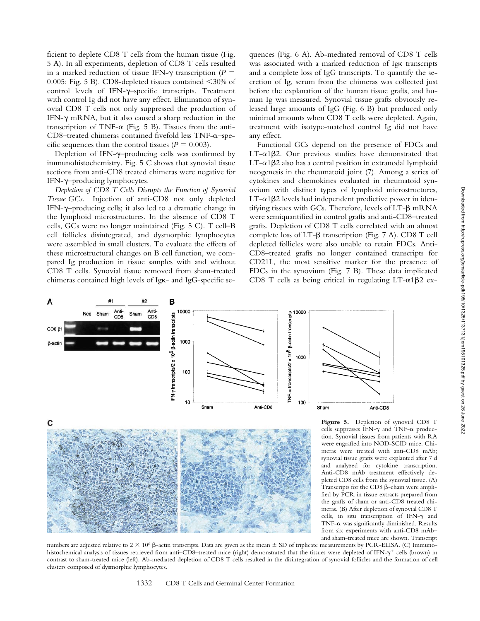ficient to deplete CD8 T cells from the human tissue (Fig. 5 A). In all experiments, depletion of CD8 T cells resulted in a marked reduction of tissue IFN- $\gamma$  transcription ( $P =$ 0.005; Fig. 5 B). CD8-depleted tissues contained  $\leq$ 30% of control levels of IFN- $\gamma$ -specific transcripts. Treatment with control Ig did not have any effect. Elimination of synovial CD8 T cells not only suppressed the production of IFN- $\gamma$  mRNA, but it also caused a sharp reduction in the transcription of TNF- $\alpha$  (Fig. 5 B). Tissues from the anti- $CD8$ -treated chimeras contained fivefold less  $TNF-\alpha$ -specific sequences than the control tissues  $(P = 0.003)$ .

Depletion of IFN-γ-producing cells was confirmed by immunohistochemistry. Fig. 5 C shows that synovial tissue sections from anti-CD8 treated chimeras were negative for IFN-γ-producing lymphocytes.

*Depletion of CD8 T Cells Disrupts the Function of Synovial Tissue GCs.* Injection of anti-CD8 not only depleted IFN- $\gamma$ -producing cells; it also led to a dramatic change in the lymphoid microstructures. In the absence of CD8 T cells, GCs were no longer maintained (Fig. 5 C). T cell–B cell follicles disintegrated, and dysmorphic lymphocytes were assembled in small clusters. To evaluate the effects of these microstructural changes on B cell function, we compared Ig production in tissue samples with and without CD8 T cells. Synovial tissue removed from sham-treated chimeras contained high levels of IgK- and IgG-specific se-

quences (Fig. 6 A). Ab-mediated removal of CD8 T cells was associated with a marked reduction of Igk transcripts and a complete loss of IgG transcripts. To quantify the secretion of Ig, serum from the chimeras was collected just before the explanation of the human tissue grafts, and human Ig was measured. Synovial tissue grafts obviously released large amounts of IgG (Fig. 6 B) but produced only minimal amounts when CD8 T cells were depleted. Again, treatment with isotype-matched control Ig did not have any effect.

Functional GCs depend on the presence of FDCs and  $LT-\alpha$ 1 $\beta$ 2. Our previous studies have demonstrated that  $LT-\alpha$ 1 $\beta$ 2 also has a central position in extranodal lymphoid neogenesis in the rheumatoid joint (7). Among a series of cytokines and chemokines evaluated in rheumatoid synovium with distinct types of lymphoid microstructures,  $LT-\alpha$ 1 $\beta$ 2 levels had independent predictive power in identifying tissues with GCs. Therefore, levels of  $LT-\beta$  mRNA were semiquantified in control grafts and anti-CD8–treated grafts. Depletion of CD8 T cells correlated with an almost complete loss of  $LT-\beta$  transcription (Fig. 7 A). CD8 T cell depleted follicles were also unable to retain FDCs. Anti-CD8–treated grafts no longer contained transcripts for CD21L, the most sensitive marker for the presence of FDCs in the synovium (Fig. 7 B). These data implicated CD8 T cells as being critical in regulating  $LT-\alpha1\beta2$  ex-



**Figure 5.** Depletion of synovial CD8 T cells suppresses IFN- $\gamma$  and TNF- $\alpha$  production. Synovial tissues from patients with RA were engrafted into NOD-SCID mice. Chimeras were treated with anti-CD8 mAb; synovial tissue grafts were explanted after 7 d and analyzed for cytokine transcription. Anti-CD8 mAb treatment effectively depleted CD8 cells from the synovial tissue. (A) Transcripts for the CD8  $\beta$ -chain were amplified by PCR in tissue extracts prepared from the grafts of sham or anti-CD8 treated chimeras. (B) After depletion of synovial CD8 T cells, in situ transcription of IFN- $\gamma$  and  $TNF-\alpha$  was significantly diminished. Results from six experiments with anti-CD8 mAb– and sham-treated mice are shown. Transcript

numbers are adjusted relative to  $2 \times 10^6$   $\beta$ -actin transcripts. Data are given as the mean  $\pm$  SD of triplicate measurements by PCR-ELISA. (C) Immunohistochemical analysis of tissues retrieved from anti-CD8-treated mice (right) demonstrated that the tissues were depleted of IFN- $\gamma^+$  cells (brown) in contrast to sham-treated mice (left). Ab-mediated depletion of CD8 T cells resulted in the disintegration of synovial follicles and the formation of cell clusters composed of dysmorphic lymphocytes.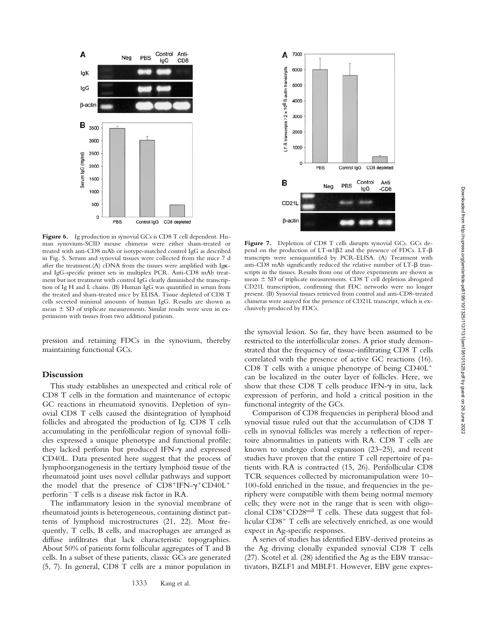

**Figure 6.** Ig production in synovial GCs is CD8 T cell dependent. Human synovium-SCID mouse chimeras were either sham-treated or treated with anti-CD8 mAb or isotype-matched control IgG as described in Fig. 5. Serum and synovial tissues were collected from the mice 7 d after the treatment. $(A)$  cDNA from the tissues were amplified with Ig $\kappa$ and IgG-specific primer sets in multiplex PCR. Anti-CD8 mAb treatment but not treatment with control IgG clearly diminished the transcription of Ig H and L chains. (B) Human IgG was quantified in serum from the treated and sham-treated mice by ELISA. Tissue depleted of CD8 T cells secreted minimal amounts of human IgG. Results are shown as mean  $\pm$  SD of triplicate measurements. Similar results were seen in experiments with tissues from two additional patients.

pression and retaining FDCs in the synovium, thereby maintaining functional GCs.

## **Discussion**

This study establishes an unexpected and critical role of CD8 T cells in the formation and maintenance of ectopic GC reactions in rheumatoid synovitis. Depletion of synovial CD8 T cells caused the disintegration of lymphoid follicles and abrogated the production of Ig. CD8 T cells accumulating in the perifollicular region of synovial follicles expressed a unique phenotype and functional profile; they lacked perforin but produced IFN- $\gamma$  and expressed CD40L. Data presented here suggest that the process of lymphoorganogenesis in the tertiary lymphoid tissue of the rheumatoid joint uses novel cellular pathways and support the model that the presence of  $CD8$ <sup>+</sup>IFN- $\gamma$ <sup>+</sup>CD40L<sup>+</sup> perforin T cells is a disease risk factor in RA.

The inflammatory lesion in the synovial membrane of rheumatoid joints is heterogeneous, containing distinct patterns of lymphoid microstructures (21, 22). Most frequently, T cells, B cells, and macrophages are arranged as diffuse infiltrates that lack characteristic topographies. About 50% of patients form follicular aggregates of T and B cells. In a subset of these patients, classic GCs are generated (5, 7). In general, CD8 T cells are a minor population in



Figure 7. Depletion of CD8 T cells disrupts synovial GCs. GCs depend on the production of  $LT-\alpha 1\beta 2$  and the presence of FDCs.  $LT-\beta$ transcripts were semiquantified by PCR-ELISA. (A) Treatment with anti-CD8 mAb significantly reduced the relative number of  $LT-\beta$  transcripts in the tissues. Results from one of three experiments are shown as mean  $\pm$  SD of triplicate measurements. CD8 T cell depletion abrogated CD21L transcription, confirming that FDC networks were no longer present. (B) Synovial tissues retrieved from control and anti-CD8–treated chimeras were assayed for the presence of CD21L transcript, which is exclusively produced by FDCs.

the synovial lesion. So far, they have been assumed to be restricted to the interfollicular zones. A prior study demonstrated that the frequency of tissue-infiltrating CD8 T cells correlated with the presence of active GC reactions (16). CD8 T cells with a unique phenotype of being CD40L can be localized in the outer layer of follicles. Here, we show that these CD8 T cells produce IFN- $\gamma$  in situ, lack expression of perforin, and hold a critical position in the functional integrity of the GCs.

Comparison of CD8 frequencies in peripheral blood and synovial tissue ruled out that the accumulation of CD8 T cells in synovial follicles was merely a reflection of repertoire abnormalities in patients with RA. CD8 T cells are known to undergo clonal expansion (23–25), and recent studies have proven that the entire T cell repertoire of patients with RA is contracted (15, 26). Perifollicular CD8 TCR sequences collected by micromanipulation were 10– 100-fold enriched in the tissue, and frequencies in the periphery were compatible with them being normal memory cells; they were not in the range that is seen with oligoclonal  $CD8+CD28<sup>null</sup>$  T cells. These data suggest that follicular  $CD8<sup>+</sup>$  T cells are selectively enriched, as one would expect in Ag-specific responses.

A series of studies has identified EBV-derived proteins as the Ag driving clonally expanded synovial CD8 T cells (27). Scotel et al. (28) identified the Ag as the EBV transactivators, BZLF1 and MBLF1. However, EBV gene expres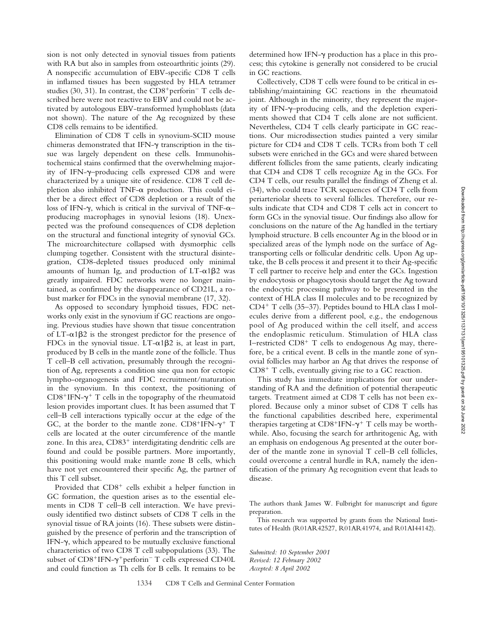sion is not only detected in synovial tissues from patients with RA but also in samples from osteoarthritic joints (29). A nonspecific accumulation of EBV-specific CD8 T cells in inflamed tissues has been suggested by HLA tetramer studies (30, 31). In contrast, the  $CD8^+$ perforin<sup>-</sup> T cells described here were not reactive to EBV and could not be activated by autologous EBV-transformed lymphoblasts (data not shown). The nature of the Ag recognized by these CD8 cells remains to be identified.

Elimination of CD8 T cells in synovium-SCID mouse chimeras demonstrated that IFN- $\gamma$  transcription in the tissue was largely dependent on these cells. Immunohistochemical stains confirmed that the overwhelming majority of IFN- $\gamma$ -producing cells expressed CD8 and were characterized by a unique site of residence. CD8 T cell depletion also inhibited  $TNF-\alpha$  production. This could either be a direct effect of CD8 depletion or a result of the loss of IFN- $\gamma$ , which is critical in the survival of TNF- $\alpha$ producing macrophages in synovial lesions (18). Unexpected was the profound consequences of CD8 depletion on the structural and functional integrity of synovial GCs. The microarchitecture collapsed with dysmorphic cells clumping together. Consistent with the structural disintegration, CD8-depleted tissues produced only minimal amounts of human Ig, and production of  $LT-\alpha1\beta2$  was greatly impaired. FDC networks were no longer maintained, as confirmed by the disappearance of CD21L, a robust marker for FDCs in the synovial membrane (17, 32).

As opposed to secondary lymphoid tissues, FDC networks only exist in the synovium if GC reactions are ongoing. Previous studies have shown that tissue concentration of  $LT-\alpha$ 1 $\beta$ 2 is the strongest predictor for the presence of FDCs in the synovial tissue. LT- $\alpha$ 1 $\beta$ 2 is, at least in part, produced by B cells in the mantle zone of the follicle. Thus T cell–B cell activation, presumably through the recognition of Ag, represents a condition sine qua non for ectopic lympho-organogenesis and FDC recruitment/maturation in the synovium. In this context, the positioning of  $CD8$ <sup>+</sup>IFN- $\gamma$ <sup>+</sup> T cells in the topography of the rheumatoid lesion provides important clues. It has been assumed that T cell–B cell interactions typically occur at the edge of the GC, at the border to the mantle zone.  $CD8^+$ IFN- $\gamma^+$  T cells are located at the outer circumference of the mantle zone. In this area,  $CD83<sup>+</sup>$  interdigitating dendritic cells are found and could be possible partners. More importantly, this positioning would make mantle zone B cells, which have not yet encountered their specific Ag, the partner of this T cell subset.

Provided that  $CD8<sup>+</sup>$  cells exhibit a helper function in GC formation, the question arises as to the essential elements in CD8 T cell–B cell interaction. We have previously identified two distinct subsets of CD8 T cells in the synovial tissue of RA joints (16). These subsets were distinguished by the presence of perforin and the transcription of IFN- $\gamma$ , which appeared to be mutually exclusive functional characteristics of two CD8 T cell subpopulations (33). The subset of  $CD8+IFN-\gamma+perforin^- T$  cells expressed  $CD40L$ and could function as Th cells for B cells. It remains to be

determined how IFN- $\gamma$  production has a place in this process; this cytokine is generally not considered to be crucial in GC reactions.

Collectively, CD8 T cells were found to be critical in establishing/maintaining GC reactions in the rheumatoid joint. Although in the minority, they represent the majority of IFN- $\gamma$ -producing cells, and the depletion experiments showed that CD4 T cells alone are not sufficient. Nevertheless, CD4 T cells clearly participate in GC reactions. Our microdissection studies painted a very similar picture for CD4 and CD8 T cells. TCRs from both T cell subsets were enriched in the GCs and were shared between different follicles from the same patients, clearly indicating that CD4 and CD8 T cells recognize Ag in the GCs. For CD4 T cells, our results parallel the findings of Zheng et al. (34), who could trace TCR sequences of CD4 T cells from periarteriolar sheets to several follicles. Therefore, our results indicate that CD4 and CD8 T cells act in concert to form GCs in the synovial tissue. Our findings also allow for conclusions on the nature of the Ag handled in the tertiary lymphoid structure. B cells encounter Ag in the blood or in specialized areas of the lymph node on the surface of Agtransporting cells or follicular dendritic cells. Upon Ag uptake, the B cells process it and present it to their Ag-specific T cell partner to receive help and enter the GCs. Ingestion by endocytosis or phagocytosis should target the Ag toward the endocytic processing pathway to be presented in the context of HLA class II molecules and to be recognized by  $CD4^+$  T cells (35–37). Peptides bound to HLA class I molecules derive from a different pool, e.g., the endogenous pool of Ag produced within the cell itself, and access the endoplasmic reticulum. Stimulation of HLA class I–restricted  $CD8<sup>+</sup>$  T cells to endogenous Ag may, therefore, be a critical event. B cells in the mantle zone of synovial follicles may harbor an Ag that drives the response of  $CD8<sup>+</sup>$  T cells, eventually giving rise to a GC reaction.

This study has immediate implications for our understanding of RA and the definition of potential therapeutic targets. Treatment aimed at CD8 T cells has not been explored. Because only a minor subset of CD8 T cells has the functional capabilities described here, experimental therapies targeting at  $CD8+IFN-\gamma^+$  T cells may be worthwhile. Also, focusing the search for arthritogenic Ag, with an emphasis on endogenous Ag presented at the outer border of the mantle zone in synovial T cell–B cell follicles, could overcome a central hurdle in RA, namely the identification of the primary Ag recognition event that leads to disease.

The authors thank James W. Fulbright for manuscript and figure preparation.

This research was supported by grants from the National Institutes of Health (R01AR42527, R01AR41974, and R01AI44142).

*Submitted: 10 September 2001 Revised: 12 February 2002 Accepted: 8 April 2002*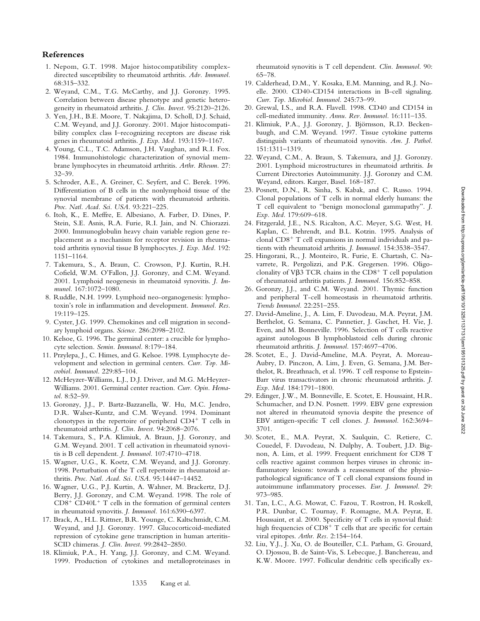# **References**

- 1. Nepom, G.T. 1998. Major histocompatibility complexdirected susceptibility to rheumatoid arthritis. *Adv. Immunol.* 68:315–332.
- 2. Weyand, C.M., T.G. McCarthy, and J.J. Goronzy. 1995. Correlation between disease phenotype and genetic heterogeneity in rheumatoid arthritis. *J. Clin. Invest.* 95:2120–2126.
- 3. Yen, J.H., B.E. Moore, T. Nakajima, D. Scholl, D.J. Schaid, C.M. Weyand, and J.J. Goronzy. 2001. Major histocompatibility complex class I–recognizing receptors are disease risk genes in rheumatoid arthritis. *J. Exp. Med.* 193:1159–1167.
- 4. Young, C.L., T.C. Adamson, J.H. Vaughan, and R.I. Fox. 1984. Immunohistologic characterization of synovial membrane lymphocytes in rheumatoid arthritis. *Arthr. Rheum.* 27: 32–39.
- 5. Schroder, A.E., A. Greiner, C. Seyfert, and C. Berek. 1996. Differentiation of B cells in the nonlymphoid tissue of the synovial membrane of patients with rheumatoid arthritis. *Proc. Natl. Acad. Sci. USA.* 93:221–225.
- 6. Itoh, K., E. Meffre, E. Albesiano, A. Farber, D. Dines, P. Stein, S.E. Asnis, R.A. Furie, R.I. Jain, and N. Chiorazzi. 2000. Immunoglobulin heavy chain variable region gene replacement as a mechanism for receptor revision in rheumatoid arthritis synovial tissue B lymphocytes. *J. Exp. Med.* 192: 1151–1164.
- 7. Takemura, S., A. Braun, C. Crowson, P.J. Kurtin, R.H. Cofield, W.M. O'Fallon, J.J. Goronzy, and C.M. Weyand. 2001. Lymphoid neogenesis in rheumatoid synovitis. *J. Immunol.* 167:1072–1080.
- 8. Ruddle, N.H. 1999. Lymphoid neo-organogenesis: lymphotoxin's role in inflammation and development. *Immunol. Res.* 19:119–125.
- 9. Cyster, J.G. 1999. Chemokines and cell migration in secondary lymphoid organs. *Science.* 286:2098–2102.
- 10. Kelsoe, G. 1996. The germinal center: a crucible for lymphocyte selection. *Semin. Immunol.* 8:179–184.
- 11. Przylepa, J., C. Himes, and G. Kelsoe. 1998. Lymphocyte development and selection in germinal centers. *Curr. Top. Microbiol. Immunol.* 229:85–104.
- 12. McHeyzer-Williams, L.J., D.J. Driver, and M.G. McHeyzer-Williams. 2001. Germinal center reaction. *Curr. Opin. Hematol.* 8:52–59.
- 13. Goronzy, J.J., P. Bartz-Bazzanella, W. Hu, M.C. Jendro, D.R. Walser-Kuntz, and C.M. Weyand. 1994. Dominant clonotypes in the repertoire of peripheral  $CD4^+$  T cells in rheumatoid arthritis. *J. Clin. Invest.* 94:2068–2076.
- 14. Takemura, S., P.A. Klimiuk, A. Braun, J.J. Goronzy, and G.M. Weyand. 2001. T cell activation in rheumatoid synovitis is B cell dependent. *J. Immunol.* 107:4710–4718.
- 15. Wagner, U.G., K. Koetz, C.M. Weyand, and J.J. Goronzy. 1998. Perturbation of the T cell repertoire in rheumatoid arthritis. *Proc. Natl. Acad. Sci. USA.* 95:14447–14452.
- 16. Wagner, U.G., P.J. Kurtin, A. Wahner, M. Brackertz, D.J. Berry, J.J. Goronzy, and C.M. Weyand. 1998. The role of  $CD8<sup>+</sup> CD40L<sup>+</sup> T cells in the formation of germinal centers$ in rheumatoid synovitis. *J. Immunol.* 161:6390–6397.
- 17. Brack, A., H.L. Rittner, B.R. Younge, C. Kaltschmidt, C.M. Weyand, and J.J. Goronzy. 1997. Glucocorticoid-mediated repression of cytokine gene transcription in human arteritis-SCID chimeras. *J. Clin. Invest.* 99:2842–2850.
- 18. Klimiuk, P.A., H. Yang, J.J. Goronzy, and C.M. Weyand. 1999. Production of cytokines and metalloproteinases in

rheumatoid synovitis is T cell dependent. *Clin. Immunol.* 90: 65–78.

- 19. Calderhead, D.M., Y. Kosaka, E.M. Manning, and R.J. Noelle. 2000. CD40-CD154 interactions in B-cell signaling. *Curr. Top. Microbiol. Immunol.* 245:73–99.
- 20. Grewal, I.S., and R.A. Flavell. 1998. CD40 and CD154 in cell-mediated immunity. *Annu. Rev. Immunol.* 16:111–135.
- 21. Klimiuk, P.A., J.J. Goronzy, J. Björnsson, R.D. Beckenbaugh, and C.M. Weyand. 1997. Tissue cytokine patterns distinguish variants of rheumatoid synovitis. *Am. J. Pathol.* 151:1311–1319.
- 22. Weyand, C.M., A. Braun, S. Takemura, and J.J. Goronzy. 2001. Lymphoid microstructures in rheumatoid arthritis. *In* Current Directories Autoimmunity. J.J. Goronzy and C.M. Weyand, editors. Karger, Basel. 168–187.
- 23. Posnett, D.N., R. Sinha, S. Kabak, and C. Russo. 1994. Clonal populations of T cells in normal elderly humans: the T cell equivalent to "benign monoclonal gammapathy". *J. Exp. Med.* 179:609–618.
- 24. Fitzgerald, J.E., N.S. Ricalton, A.C. Meyer, S.G. West, H. Kaplan, C. Behrendt, and B.L. Kotzin. 1995. Analysis of clonal  $CD8<sup>+</sup>$  T cell expansions in normal individuals and patients with rheumatoid arthritis. *J. Immunol.* 154:3538–3547.
- 25. Hingorani, R., J. Monteiro, R. Furie, E. Chartash, C. Navarrete, R. Pergolizzi, and P.K. Gregersen. 1996. Oligoclonality of V $\beta$ 3 TCR chains in the CD8<sup>+</sup> T cell population of rheumatoid arthritis patients. *J. Immunol.* 156:852–858.
- 26. Goronzy, J.J., and C.M. Weyand. 2001. Thymic function and peripheral T-cell homeostasis in rheumatoid arthritis. *Trends Immunol.* 22:251–255.
- 27. David-Ameline, J., A. Lim, F. Davodeau, M.A. Peyrat, J.M. Berthelot, G. Semana, C. Pannetier, J. Gaschet, H. Vie, J. Even, and M. Bonneville. 1996. Selection of T cells reactive against autologous B lymphoblastoid cells during chronic rheumatoid arthritis. *J. Immunol.* 157:4697–4706.
- 28. Scotet, E., J. David-Ameline, M.A. Peyrat, A. Moreau-Aubry, D. Pinczon, A. Lim, J. Even, G. Semana, J.M. Berthelot, R. Breathnach, et al. 1996. T cell response to Epstein-Barr virus transactivators in chronic rheumatoid arthritis. *J. Exp. Med.* 184:1791–1800.
- 29. Edinger, J.W., M. Bonneville, E. Scotet, E. Houssaint, H.R. Schumacher, and D.N. Posnett. 1999. EBV gene expression not altered in rheumatoid synovia despite the presence of EBV antigen-specific T cell clones. *J. Immunol.* 162:3694– 3701.
- 30. Scotet, E., M.A. Peyrat, X. Saulquin, C. Retiere, C. Couedel, F. Davodeau, N. Dulphy, A. Toubert, J.D. Bignon, A. Lim, et al. 1999. Frequent enrichment for CD8 T cells reactive against common herpes viruses in chronic inflammatory lesions: towards a reassessment of the physiopathological significance of T cell clonal expansions found in autoimmune inflammatory processes. *Eur. J. Immunol.* 29: 973–985.
- 31. Tan, L.C., A.G. Mowat, C. Fazou, T. Rostron, H. Roskell, P.R. Dunbar, C. Tournay, F. Romagne, M.A. Peyrat, E. Houssaint, et al. 2000. Specificity of T cells in synovial fluid: high frequencies of  $CD8<sup>+</sup>$  T cells that are specific for certain viral epitopes. *Arthr. Res.* 2:154–164.
- 32. Liu, Y.J., J. Xu, O. de Bouteiller, C.L. Parham, G. Grouard, O. Djossou, B. de Saint-Vis, S. Lebecque, J. Banchereau, and K.W. Moore. 1997. Follicular dendritic cells specifically ex-